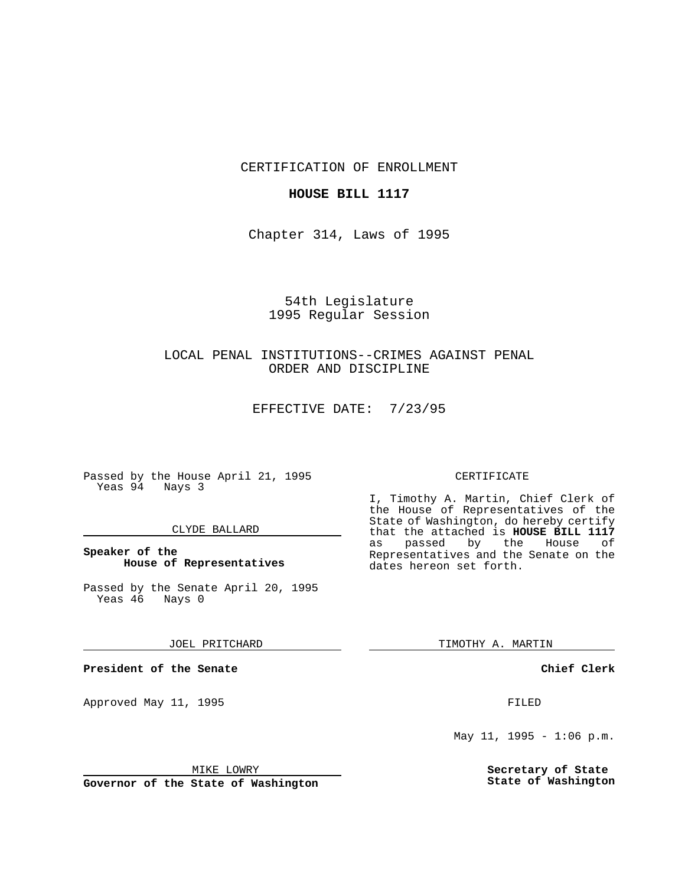CERTIFICATION OF ENROLLMENT

## **HOUSE BILL 1117**

Chapter 314, Laws of 1995

# 54th Legislature 1995 Regular Session

# LOCAL PENAL INSTITUTIONS--CRIMES AGAINST PENAL ORDER AND DISCIPLINE

EFFECTIVE DATE: 7/23/95

Passed by the House April 21, 1995 Yeas 94 Nays 3

### CLYDE BALLARD

# **Speaker of the House of Representatives**

Passed by the Senate April 20, 1995<br>Yeas 46 Nays 0 Yeas 46

#### JOEL PRITCHARD

**President of the Senate**

Approved May 11, 1995 FILED

#### MIKE LOWRY

**Governor of the State of Washington**

#### CERTIFICATE

I, Timothy A. Martin, Chief Clerk of the House of Representatives of the State of Washington, do hereby certify that the attached is **HOUSE BILL 1117**<br>as passed by the House of as passed by the House of Representatives and the Senate on the dates hereon set forth.

TIMOTHY A. MARTIN

### **Chief Clerk**

May  $11$ ,  $1995 - 1:06$  p.m.

**Secretary of State State of Washington**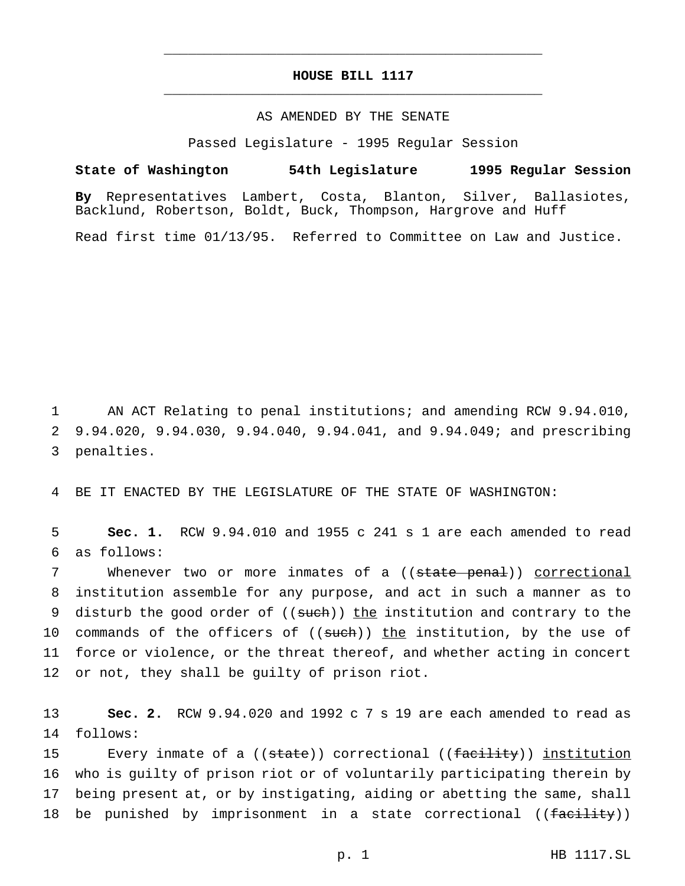# **HOUSE BILL 1117** \_\_\_\_\_\_\_\_\_\_\_\_\_\_\_\_\_\_\_\_\_\_\_\_\_\_\_\_\_\_\_\_\_\_\_\_\_\_\_\_\_\_\_\_\_\_\_

\_\_\_\_\_\_\_\_\_\_\_\_\_\_\_\_\_\_\_\_\_\_\_\_\_\_\_\_\_\_\_\_\_\_\_\_\_\_\_\_\_\_\_\_\_\_\_

### AS AMENDED BY THE SENATE

Passed Legislature - 1995 Regular Session

#### **State of Washington 54th Legislature 1995 Regular Session**

**By** Representatives Lambert, Costa, Blanton, Silver, Ballasiotes, Backlund, Robertson, Boldt, Buck, Thompson, Hargrove and Huff

Read first time 01/13/95. Referred to Committee on Law and Justice.

1 AN ACT Relating to penal institutions; and amending RCW 9.94.010, 2 9.94.020, 9.94.030, 9.94.040, 9.94.041, and 9.94.049; and prescribing 3 penalties.

4 BE IT ENACTED BY THE LEGISLATURE OF THE STATE OF WASHINGTON:

5 **Sec. 1.** RCW 9.94.010 and 1955 c 241 s 1 are each amended to read 6 as follows:

7 Whenever two or more inmates of a ((state penal)) correctional 8 institution assemble for any purpose, and act in such a manner as to 9 disturb the good order of ((such)) the institution and contrary to the 10 commands of the officers of ((such)) the institution, by the use of 11 force or violence, or the threat thereof, and whether acting in concert 12 or not, they shall be guilty of prison riot.

13 **Sec. 2.** RCW 9.94.020 and 1992 c 7 s 19 are each amended to read as 14 follows:

15 Every inmate of a ((state)) correctional ((facility)) institution 16 who is guilty of prison riot or of voluntarily participating therein by 17 being present at, or by instigating, aiding or abetting the same, shall 18 be punished by imprisonment in a state correctional ((facility))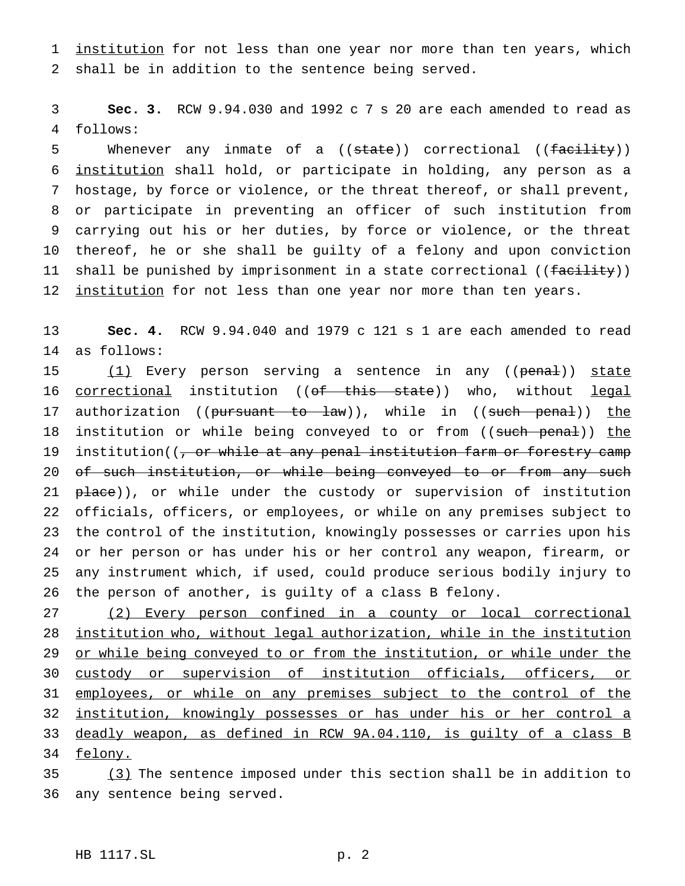1 institution for not less than one year nor more than ten years, which 2 shall be in addition to the sentence being served.

3 **Sec. 3.** RCW 9.94.030 and 1992 c 7 s 20 are each amended to read as 4 follows:

5 Whenever any inmate of a ((state)) correctional ((facility)) institution shall hold, or participate in holding, any person as a hostage, by force or violence, or the threat thereof, or shall prevent, or participate in preventing an officer of such institution from carrying out his or her duties, by force or violence, or the threat thereof, he or she shall be guilty of a felony and upon conviction 11 shall be punished by imprisonment in a state correctional ((facility)) 12 institution for not less than one year nor more than ten years.

13 **Sec. 4.** RCW 9.94.040 and 1979 c 121 s 1 are each amended to read 14 as follows:

15 (1) Every person serving a sentence in any ((penal)) state 16 correctional institution ((of this state)) who, without legal 17 authorization ((pursuant to law)), while in ((such penal)) the 18 institution or while being conveyed to or from ((such penal)) the 19 institution((, or while at any penal institution farm or forestry camp 20 of such institution, or while being conveyed to or from any such 21 place)), or while under the custody or supervision of institution 22 officials, officers, or employees, or while on any premises subject to 23 the control of the institution, knowingly possesses or carries upon his 24 or her person or has under his or her control any weapon, firearm, or 25 any instrument which, if used, could produce serious bodily injury to 26 the person of another, is guilty of a class B felony.

 (2) Every person confined in a county or local correctional institution who, without legal authorization, while in the institution 29 or while being conveyed to or from the institution, or while under the custody or supervision of institution officials, officers, or 31 employees, or while on any premises subject to the control of the institution, knowingly possesses or has under his or her control a deadly weapon, as defined in RCW 9A.04.110, is guilty of a class B 34 felony.

35 (3) The sentence imposed under this section shall be in addition to 36 any sentence being served.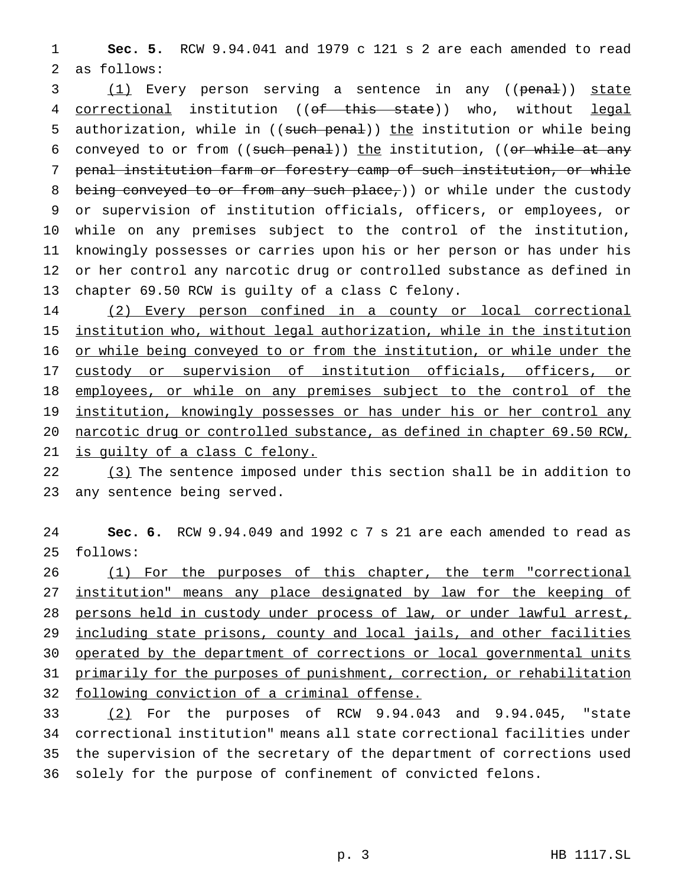**Sec. 5.** RCW 9.94.041 and 1979 c 121 s 2 are each amended to read as follows:

3 (1) Every person serving a sentence in any ((penal)) state 4 correctional institution ((of this state)) who, without legal 5 authorization, while in ((such penal)) the institution or while being 6 conveyed to or from  $((such\,\,penal))$  the institution,  $((or\,\,while\,\,at\,\,any\,\,b\,\,b\,\,b))$  penal institution farm or forestry camp of such institution, or while 8 being conveyed to or from any such place,)) or while under the custody or supervision of institution officials, officers, or employees, or while on any premises subject to the control of the institution, knowingly possesses or carries upon his or her person or has under his or her control any narcotic drug or controlled substance as defined in chapter 69.50 RCW is guilty of a class C felony.

 (2) Every person confined in a county or local correctional institution who, without legal authorization, while in the institution or while being conveyed to or from the institution, or while under the 17 custody or supervision of institution officials, officers, or 18 employees, or while on any premises subject to the control of the 19 institution, knowingly possesses or has under his or her control any narcotic drug or controlled substance, as defined in chapter 69.50 RCW, is guilty of a class C felony.

22 (3) The sentence imposed under this section shall be in addition to any sentence being served.

 **Sec. 6.** RCW 9.94.049 and 1992 c 7 s 21 are each amended to read as follows:

26 (1) For the purposes of this chapter, the term "correctional 27 institution" means any place designated by law for the keeping of persons held in custody under process of law, or under lawful arrest, including state prisons, county and local jails, and other facilities operated by the department of corrections or local governmental units primarily for the purposes of punishment, correction, or rehabilitation following conviction of a criminal offense.

 (2) For the purposes of RCW 9.94.043 and 9.94.045, "state correctional institution" means all state correctional facilities under the supervision of the secretary of the department of corrections used solely for the purpose of confinement of convicted felons.